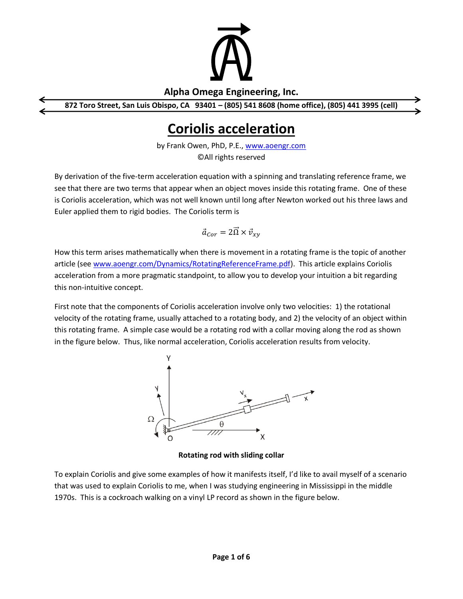

## **Alpha Omega Engineering, Inc.**

**872 Toro Street, San Luis Obispo, CA 93401 – (805) 541 8608 (home office), (805) 441 3995 (cell)**

## **Coriolis acceleration**

by Frank Owen, PhD, P.E., [www.aoengr.com](http://www.aoengr.com/) ©All rights reserved

By derivation of the five-term acceleration equation with a spinning and translating reference frame, we see that there are two terms that appear when an object moves inside this rotating frame. One of these is Coriolis acceleration, which was not well known until long after Newton worked out his three laws and Euler applied them to rigid bodies. The Coriolis term is

$$
\vec{a}_{Cor} = 2\vec{\Omega} \times \vec{v}_{xy}
$$

How this term arises mathematically when there is movement in a rotating frame is the topic of another article (see [www.aoengr.com/Dynamics/RotatingReferenceFrame.pdf\)](http://www.aoengr.com/Dynamics/RotatingReferenceFrame.pdf). This article explains Coriolis acceleration from a more pragmatic standpoint, to allow you to develop your intuition a bit regarding this non-intuitive concept.

First note that the components of Coriolis acceleration involve only two velocities: 1) the rotational velocity of the rotating frame, usually attached to a rotating body, and 2) the velocity of an object within this rotating frame. A simple case would be a rotating rod with a collar moving along the rod as shown in the figure below. Thus, like normal acceleration, Coriolis acceleration results from velocity.



**Rotating rod with sliding collar**

To explain Coriolis and give some examples of how it manifests itself, I'd like to avail myself of a scenario that was used to explain Coriolis to me, when I was studying engineering in Mississippi in the middle 1970s. This is a cockroach walking on a vinyl LP record as shown in the figure below.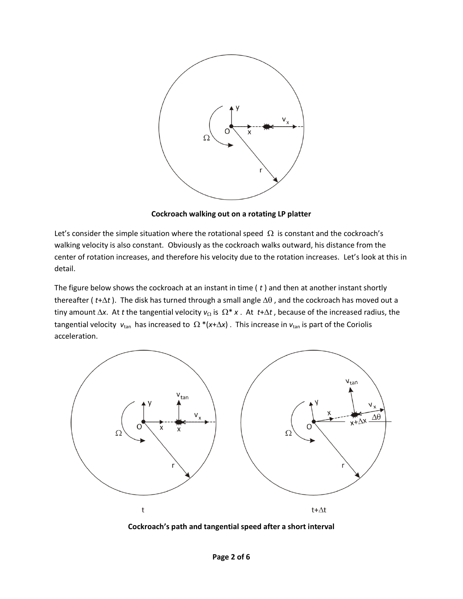

**Cockroach walking out on a rotating LP platter**

Let's consider the simple situation where the rotational speed  $\Omega$  is constant and the cockroach's walking velocity is also constant. Obviously as the cockroach walks outward, his distance from the center of rotation increases, and therefore his velocity due to the rotation increases. Let's look at this in detail.

The figure below shows the cockroach at an instant in time ( *t* ) and then at another instant shortly thereafter ( $t+\Delta t$ ). The disk has turned through a small angle  $\Delta\theta$ , and the cockroach has moved out a tiny amount  $\Delta x$ . At *t* the tangential velocity  $v_{\Omega}$  is  $\Omega^* x$ . At  $t + \Delta t$ , because of the increased radius, the tangential velocity  $v_{tan}$  has increased to  $\Omega^*(x+\Delta x)$ . This increase in  $v_{tan}$  is part of the Coriolis acceleration.



**Cockroach's path and tangential speed after a short interval**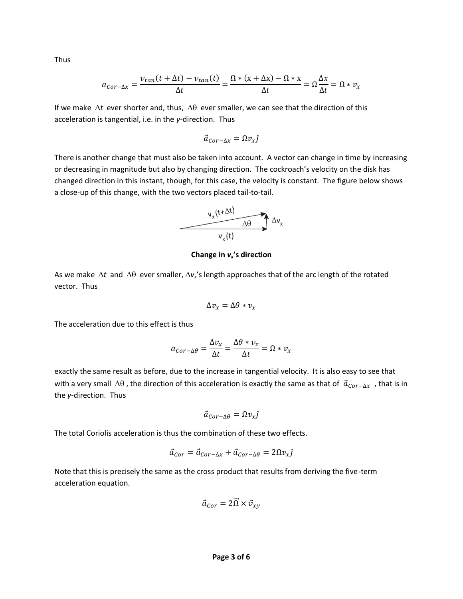Thus

$$
a_{Cor-\Delta x} = \frac{v_{tan}(t + \Delta t) - v_{tan}(t)}{\Delta t} = \frac{\Omega * (x + \Delta x) - \Omega * x}{\Delta t} = \Omega \frac{\Delta x}{\Delta t} = \Omega * v_x
$$

If we make  $\Delta t$  ever shorter and, thus,  $\Delta \theta$  ever smaller, we can see that the direction of this acceleration is tangential, i.e. in the *y*-direction. Thus

$$
\vec{a}_{Cor-\Delta x} = \Omega v_x \hat{\jmath}
$$

There is another change that must also be taken into account. A vector can change in time by increasing or decreasing in magnitude but also by changing direction. The cockroach's velocity on the disk has changed direction in this instant, though, for this case, the velocity is constant. The figure below shows a close-up of this change, with the two vectors placed tail-to-tail.



**Change in** *vx***'s direction**

As we make  $\Delta t$  and  $\Delta \theta$  ever smaller,  $\Delta v_x$ 's length approaches that of the arc length of the rotated vector. Thus

$$
\Delta v_x = \Delta \theta * v_x
$$

The acceleration due to this effect is thus

$$
a_{Cor-\Delta\theta} = \frac{\Delta v_x}{\Delta t} = \frac{\Delta\theta * v_x}{\Delta t} = \Omega * v_x
$$

exactly the same result as before, due to the increase in tangential velocity. It is also easy to see that with a very small  $\Delta\theta$ , the direction of this acceleration is exactly the same as that of  $\vec{a}_{Cor-\Delta x}$ , that is in the *y*-direction. Thus

$$
\vec{a}_{Cor-\Delta\theta} = \Omega v_x \hat{\jmath}
$$

The total Coriolis acceleration is thus the combination of these two effects.

$$
\vec{a}_{Cor} = \vec{a}_{Cor - \Delta x} + \vec{a}_{Cor - \Delta \theta} = 2\Omega v_x \hat{j}
$$

Note that this is precisely the same as the cross product that results from deriving the five-term acceleration equation.

$$
\vec{a}_{Cor} = 2\vec{\Omega} \times \vec{v}_{xy}
$$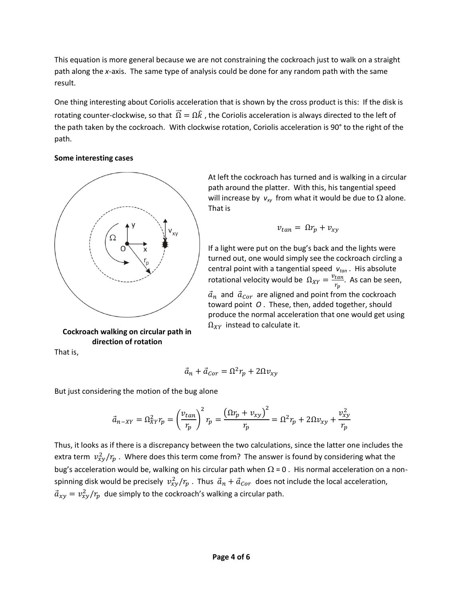This equation is more general because we are not constraining the cockroach just to walk on a straight path along the *x*-axis. The same type of analysis could be done for any random path with the same result.

One thing interesting about Coriolis acceleration that is shown by the cross product is this: If the disk is rotating counter-clockwise, so that  $\vec{\Omega} = \Omega \hat{k}$ , the Coriolis acceleration is always directed to the left of the path taken by the cockroach. With clockwise rotation, Coriolis acceleration is 90° to the right of the path.

## **Some interesting cases**



**Cockroach walking on circular path in direction of rotation**

That is,

At left the cockroach has turned and is walking in a circular path around the platter. With this, his tangential speed will increase by  $v_{xy}$  from what it would be due to  $\Omega$  alone. That is

$$
v_{tan} = \Omega r_p + v_{xy}
$$

If a light were put on the bug's back and the lights were turned out, one would simply see the cockroach circling a central point with a tangential speed *vtan* . His absolute rotational velocity would be  $\Omega_{XY} = \frac{v_{tan}}{r}$  $\frac{tan}{r_p}$ . As can be seen,  $\vec{a}_n$  and  $\vec{a}_{Cor}$  are aligned and point from the cockroach toward point *O* . These, then, added together, should produce the normal acceleration that one would get using  $\Omega_{XY}$  instead to calculate it.

$$
\vec{a}_n + \vec{a}_{Cor} = \Omega^2 r_p + 2\Omega v_{xy}
$$

But just considering the motion of the bug alone

$$
\vec{a}_{n-XY} = \Omega_{XY}^2 r_p = \left(\frac{v_{tan}}{r_p}\right)^2 r_p = \frac{\left(\Omega r_p + v_{xy}\right)^2}{r_p} = \Omega^2 r_p + 2\Omega v_{xy} + \frac{v_{xy}^2}{r_p}
$$

Thus, it looks as if there is a discrepancy between the two calculations, since the latter one includes the extra term  $v_{xy}^2/r_p$  . Where does this term come from? The answer is found by considering what the bug's acceleration would be, walking on his circular path when  $\Omega$  = 0. His normal acceleration on a nonspinning disk would be precisely  $v_{xy}^2/r_p$  . Thus  $\vec{a}_n + \vec{a}_{Cor}$  does not include the local acceleration,  $\vec{a}_{xy} = v_{xy}^2/r_p$  due simply to the cockroach's walking a circular path.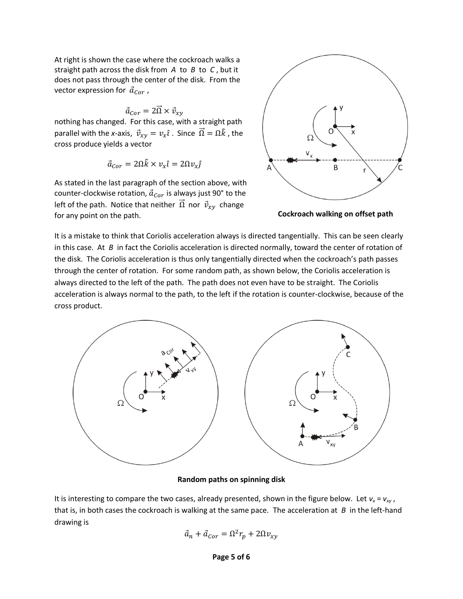At right is shown the case where the cockroach walks a straight path across the disk from *A* to *B* to *C* , but it does not pass through the center of the disk. From the vector expression for  $\vec{a}_{Cor}$ ,

$$
\vec{a}_{Cor} = 2\vec{\Omega} \times \vec{v}_{xy}
$$

nothing has changed. For this case, with a straight path parallel with the *x*-axis,  $\vec{v}_{xy} = v_x \hat{i}$ . Since  $\vec{\Omega} = \Omega \hat{k}$ , the cross produce yields a vector

$$
\vec{a}_{Cor} = 2\Omega \hat{k} \times v_x \hat{\imath} = 2\Omega v_x \hat{\jmath}
$$

As stated in the last paragraph of the section above, with counter-clockwise rotation,  $\vec{a}_{Cor}$  is always just 90° to the left of the path. Notice that neither  $\vec{\Omega}$  nor  $\vec{v}_{xy}$  change for any point on the path. **Cockroach walking on offset path**



It is a mistake to think that Coriolis acceleration always is directed tangentially. This can be seen clearly in this case. At *B* in fact the Coriolis acceleration is directed normally, toward the center of rotation of the disk. The Coriolis acceleration is thus only tangentially directed when the cockroach's path passes through the center of rotation. For some random path, as shown below, the Coriolis acceleration is always directed to the left of the path. The path does not even have to be straight. The Coriolis acceleration is always normal to the path, to the left if the rotation is counter-clockwise, because of the cross product.



## **Random paths on spinning disk**

It is interesting to compare the two cases, already presented, shown in the figure below. Let  $v_x = v_{xy}$ , that is, in both cases the cockroach is walking at the same pace. The acceleration at *B* in the left-hand drawing is

$$
\vec{a}_n + \vec{a}_{Cor} = \Omega^2 r_p + 2\Omega v_{xy}
$$